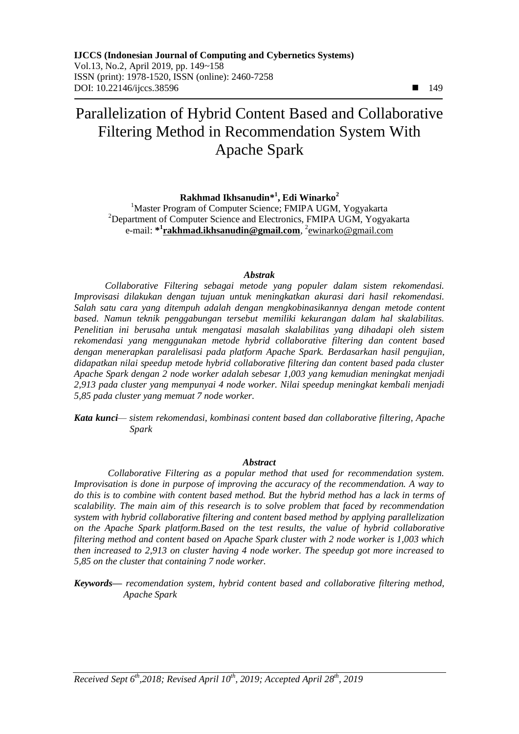# Parallelization of Hybrid Content Based and Collaborative Filtering Method in Recommendation System With Apache Spark

**Rakhmad Ikhsanudin\* 1 , Edi Winarko<sup>2</sup>**

<sup>1</sup>Master Program of Computer Science; FMIPA UGM, Yogyakarta <sup>2</sup>Department of Computer Science and Electronics, FMIPA UGM, Yogyakarta e-mail: **[\\*](mailto:1xxxx@xxxx.xxx) 1 rakhmad.ikhsanudin@gmail.com**, 2 [e](mailto:2xxx@xxxx.xxx)winarko@gmail.com

#### *Abstrak*

*Collaborative Filtering sebagai metode yang populer dalam sistem rekomendasi. Improvisasi dilakukan dengan tujuan untuk meningkatkan akurasi dari hasil rekomendasi. Salah satu cara yang ditempuh adalah dengan mengkobinasikannya dengan metode content based. Namun teknik penggabungan tersebut memiliki kekurangan dalam hal skalabilitas. Penelitian ini berusaha untuk mengatasi masalah skalabilitas yang dihadapi oleh sistem rekomendasi yang menggunakan metode hybrid collaborative filtering dan content based dengan menerapkan paralelisasi pada platform Apache Spark. Berdasarkan hasil pengujian, didapatkan nilai speedup metode hybrid collaborative filtering dan content based pada cluster Apache Spark dengan 2 node worker adalah sebesar 1,003 yang kemudian meningkat menjadi 2,913 pada cluster yang mempunyai 4 node worker. Nilai speedup meningkat kembali menjadi 5,85 pada cluster yang memuat 7 node worker.*

*Kata kunci— sistem rekomendasi, kombinasi content based dan collaborative filtering, Apache Spark*

#### *Abstract*

*Collaborative Filtering as a popular method that used for recommendation system. Improvisation is done in purpose of improving the accuracy of the recommendation. A way to do this is to combine with content based method. But the hybrid method has a lack in terms of scalability. The main aim of this research is to solve problem that faced by recommendation system with hybrid collaborative filtering and content based method by applying parallelization on the Apache Spark platform.Based on the test results, the value of hybrid collaborative filtering method and content based on Apache Spark cluster with 2 node worker is 1,003 which then increased to 2,913 on cluster having 4 node worker. The speedup got more increased to 5,85 on the cluster that containing 7 node worker.*

*Keywords— recomendation system, hybrid content based and collaborative filtering method, Apache Spark*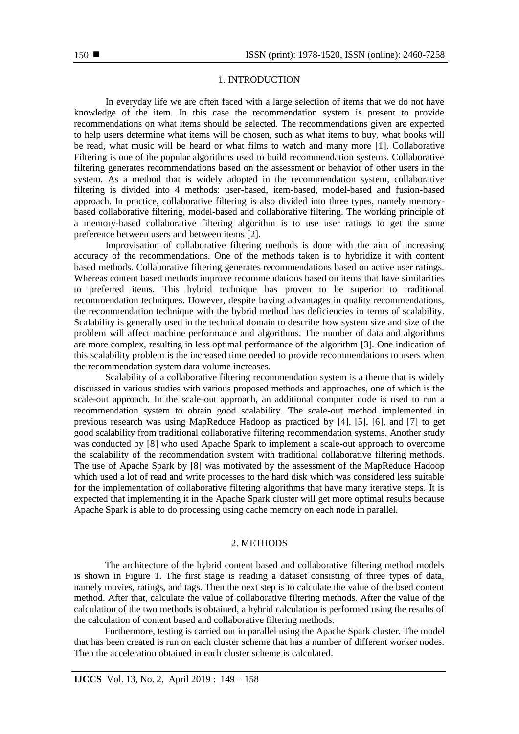#### 1. INTRODUCTION

In everyday life we are often faced with a large selection of items that we do not have knowledge of the item. In this case the recommendation system is present to provide recommendations on what items should be selected. The recommendations given are expected to help users determine what items will be chosen, such as what items to buy, what books will be read, what music will be heard or what films to watch and many more [1]. Collaborative Filtering is one of the popular algorithms used to build recommendation systems. Collaborative filtering generates recommendations based on the assessment or behavior of other users in the system. As a method that is widely adopted in the recommendation system, collaborative filtering is divided into 4 methods: user-based, item-based, model-based and fusion-based approach. In practice, collaborative filtering is also divided into three types, namely memorybased collaborative filtering, model-based and collaborative filtering. The working principle of a memory-based collaborative filtering algorithm is to use user ratings to get the same preference between users and between items [2].

Improvisation of collaborative filtering methods is done with the aim of increasing accuracy of the recommendations. One of the methods taken is to hybridize it with content based methods. Collaborative filtering generates recommendations based on active user ratings. Whereas content based methods improve recommendations based on items that have similarities to preferred items. This hybrid technique has proven to be superior to traditional recommendation techniques. However, despite having advantages in quality recommendations, the recommendation technique with the hybrid method has deficiencies in terms of scalability. Scalability is generally used in the technical domain to describe how system size and size of the problem will affect machine performance and algorithms. The number of data and algorithms are more complex, resulting in less optimal performance of the algorithm [3]. One indication of this scalability problem is the increased time needed to provide recommendations to users when the recommendation system data volume increases.

Scalability of a collaborative filtering recommendation system is a theme that is widely discussed in various studies with various proposed methods and approaches, one of which is the scale-out approach. In the scale-out approach, an additional computer node is used to run a recommendation system to obtain good scalability. The scale-out method implemented in previous research was using MapReduce Hadoop as practiced by [4], [5], [6], and [7] to get good scalability from traditional collaborative filtering recommendation systems. Another study was conducted by [8] who used Apache Spark to implement a scale-out approach to overcome the scalability of the recommendation system with traditional collaborative filtering methods. The use of Apache Spark by [8] was motivated by the assessment of the MapReduce Hadoop which used a lot of read and write processes to the hard disk which was considered less suitable for the implementation of collaborative filtering algorithms that have many iterative steps. It is expected that implementing it in the Apache Spark cluster will get more optimal results because Apache Spark is able to do processing using cache memory on each node in parallel.

#### 2. METHODS

The architecture of the hybrid content based and collaborative filtering method models is shown in Figure 1. The first stage is reading a dataset consisting of three types of data, namely movies, ratings, and tags. Then the next step is to calculate the value of the bsed content method. After that, calculate the value of collaborative filtering methods. After the value of the calculation of the two methods is obtained, a hybrid calculation is performed using the results of the calculation of content based and collaborative filtering methods.

Furthermore, testing is carried out in parallel using the Apache Spark cluster. The model that has been created is run on each cluster scheme that has a number of different worker nodes. Then the acceleration obtained in each cluster scheme is calculated.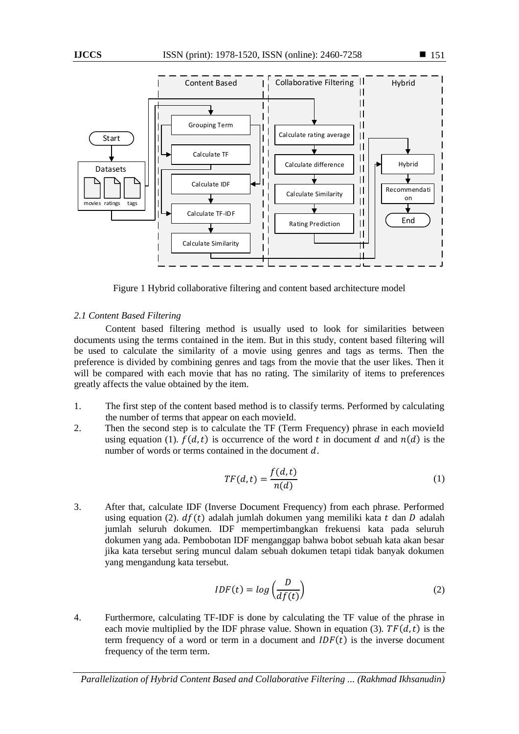

Figure 1 Hybrid collaborative filtering and content based architecture model

# *2.1 Content Based Filtering*

Content based filtering method is usually used to look for similarities between documents using the terms contained in the item. But in this study, content based filtering will be used to calculate the similarity of a movie using genres and tags as terms. Then the preference is divided by combining genres and tags from the movie that the user likes. Then it will be compared with each movie that has no rating. The similarity of items to preferences greatly affects the value obtained by the item.

- 1. The first step of the content based method is to classify terms. Performed by calculating the number of terms that appear on each movieId.
- 2. Then the second step is to calculate the TF (Term Frequency) phrase in each movieId using equation (1).  $f(d, t)$  is occurrence of the word t in document d and  $n(d)$  is the number of words or terms contained in the document  $d$ .

$$
TF(d,t) = \frac{f(d,t)}{n(d)}\tag{1}
$$

3. After that, calculate IDF (Inverse Document Frequency) from each phrase. Performed using equation (2).  $df(t)$  adalah jumlah dokumen yang memiliki kata t dan D adalah jumlah seluruh dokumen. IDF mempertimbangkan frekuensi kata pada seluruh dokumen yang ada. Pembobotan IDF menganggap bahwa bobot sebuah kata akan besar jika kata tersebut sering muncul dalam sebuah dokumen tetapi tidak banyak dokumen yang mengandung kata tersebut.

$$
IDF(t) = log\left(\frac{D}{df(t)}\right)
$$
 (2)

4. Furthermore, calculating TF-IDF is done by calculating the TF value of the phrase in each movie multiplied by the IDF phrase value. Shown in equation (3).  $TF(d, t)$  is the term frequency of a word or term in a document and  $IDF(t)$  is the inverse document frequency of the term term.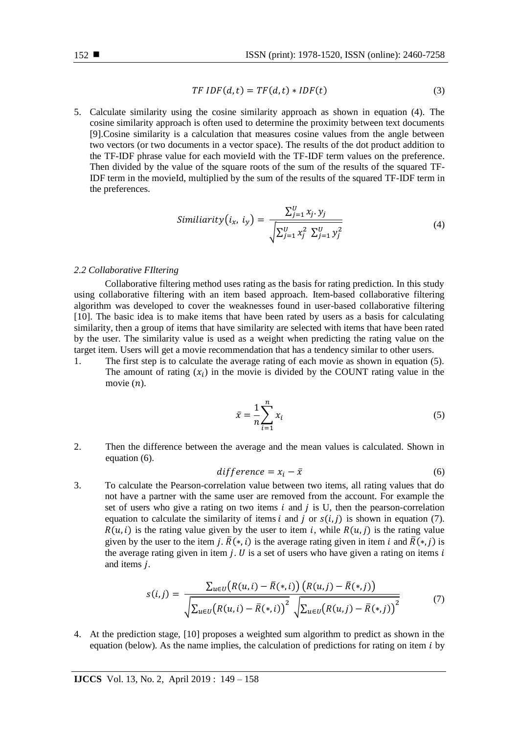$$
TFIDF(d,t) = TF(d,t) * IDF(t)
$$
\n(3)

5. Calculate similarity using the cosine similarity approach as shown in equation (4). The cosine similarity approach is often used to determine the proximity between text documents [9].Cosine similarity is a calculation that measures cosine values from the angle between two vectors (or two documents in a vector space). The results of the dot product addition to the TF-IDF phrase value for each movieId with the TF-IDF term values on the preference. Then divided by the value of the square roots of the sum of the results of the squared TF-IDF term in the movieId, multiplied by the sum of the results of the squared TF-IDF term in the preferences.

$$
Similarity(i_x, i_y) = \frac{\sum_{j=1}^{U} x_j \cdot y_j}{\sqrt{\sum_{j=1}^{U} x_j^2 \sum_{j=1}^{U} y_j^2}}
$$
(4)

#### *2.2 Collaborative FIltering*

Collaborative filtering method uses rating as the basis for rating prediction. In this study using collaborative filtering with an item based approach. Item-based collaborative filtering algorithm was developed to cover the weaknesses found in user-based collaborative filtering [10]. The basic idea is to make items that have been rated by users as a basis for calculating similarity, then a group of items that have similarity are selected with items that have been rated by the user. The similarity value is used as a weight when predicting the rating value on the target item. Users will get a movie recommendation that has a tendency similar to other users.

1. The first step is to calculate the average rating of each movie as shown in equation (5). The amount of rating  $(x_i)$  in the movie is divided by the COUNT rating value in the movie  $(n)$ .

$$
\bar{x} = \frac{1}{n} \sum_{i=1}^{n} x_i
$$
\n<sup>(5)</sup>

2. Then the difference between the average and the mean values is calculated. Shown in equation (6).

$$
difference = x_i - \bar{x} \tag{6}
$$

3. To calculate the Pearson-correlation value between two items, all rating values that do not have a partner with the same user are removed from the account. For example the set of users who give a rating on two items  $i$  and  $j$  is U, then the pearson-correlation equation to calculate the similarity of items i and j or  $s(i, j)$  is shown in equation (7).  $R(u, i)$  is the rating value given by the user to item i, while  $R(u, i)$  is the rating value given by the user to the item j.  $\bar{R}(*,i)$  is the average rating given in item i and  $\bar{R}(*,j)$  is the average rating given in item  $j$ .  $U$  is a set of users who have given a rating on items  $i$ and items  $j$ .

$$
s(i,j) = \frac{\sum_{u \in U} (R(u,i) - \bar{R}(*,i)) (R(u,j) - \bar{R}(*,j))}{\sqrt{\sum_{u \in U} (R(u,i) - \bar{R}(*,i))^{2}} \sqrt{\sum_{u \in U} (R(u,j) - \bar{R}(*,j))^{2}}}
$$
(7)

4. At the prediction stage, [10] proposes a weighted sum algorithm to predict as shown in the equation (below). As the name implies, the calculation of predictions for rating on item  $i$  by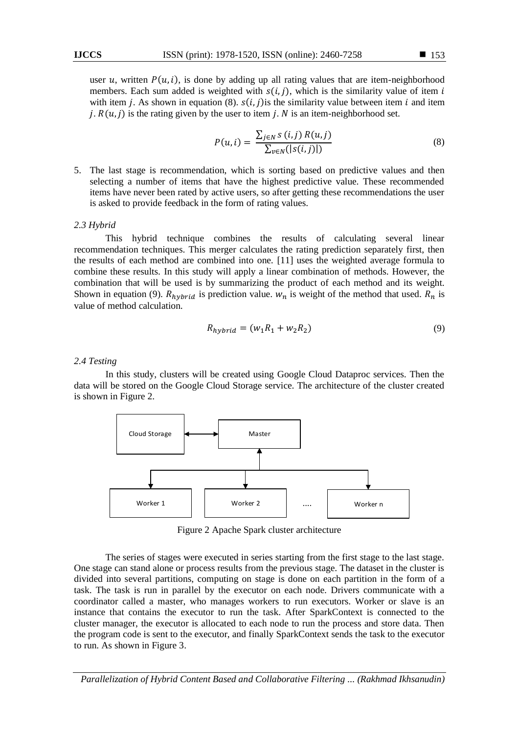user u, written  $P(u, i)$ , is done by adding up all rating values that are item-neighborhood members. Each sum added is weighted with  $s(i, j)$ , which is the similarity value of item i with item *j*. As shown in equation (8).  $s(i, j)$  is the similarity value between item *i* and item *j*.  $R(u, j)$  is the rating given by the user to item *j*. *N* is an item-neighborhood set.

$$
P(u, i) = \frac{\sum_{j \in N} s(i, j) R(u, j)}{\sum_{v \in N} (|s(i, j)|)}
$$
(8)

5. The last stage is recommendation, which is sorting based on predictive values and then selecting a number of items that have the highest predictive value. These recommended items have never been rated by active users, so after getting these recommendations the user is asked to provide feedback in the form of rating values.

#### *2.3 Hybrid*

This hybrid technique combines the results of calculating several linear recommendation techniques. This merger calculates the rating prediction separately first, then the results of each method are combined into one. [11] uses the weighted average formula to combine these results. In this study will apply a linear combination of methods. However, the combination that will be used is by summarizing the product of each method and its weight. Shown in equation (9).  $R_{h\nu brid}$  is prediction value.  $w_n$  is weight of the method that used.  $R_n$  is value of method calculation.

$$
R_{hybrid} = (w_1 R_1 + w_2 R_2) \tag{9}
$$

#### *2.4 Testing*

In this study, clusters will be created using Google Cloud Dataproc services. Then the data will be stored on the Google Cloud Storage service. The architecture of the cluster created is shown in Figure 2.



Figure 2 Apache Spark cluster architecture

The series of stages were executed in series starting from the first stage to the last stage. One stage can stand alone or process results from the previous stage. The dataset in the cluster is divided into several partitions, computing on stage is done on each partition in the form of a task. The task is run in parallel by the executor on each node. Drivers communicate with a coordinator called a master, who manages workers to run executors. Worker or slave is an instance that contains the executor to run the task. After SparkContext is connected to the cluster manager, the executor is allocated to each node to run the process and store data. Then the program code is sent to the executor, and finally SparkContext sends the task to the executor to run. As shown in Figure 3.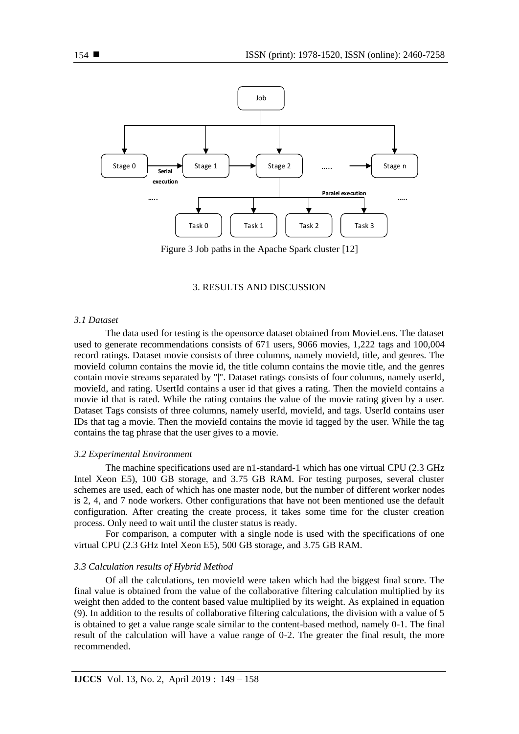

Figure 3 Job paths in the Apache Spark cluster [12]

#### 3. RESULTS AND DISCUSSION

#### *3.1 Dataset*

The data used for testing is the opensorce dataset obtained from MovieLens. The dataset used to generate recommendations consists of 671 users, 9066 movies, 1,222 tags and 100,004 record ratings. Dataset movie consists of three columns, namely movieId, title, and genres. The movieId column contains the movie id, the title column contains the movie title, and the genres contain movie streams separated by "|". Dataset ratings consists of four columns, namely userId, movieId, and rating. UsertId contains a user id that gives a rating. Then the movieId contains a movie id that is rated. While the rating contains the value of the movie rating given by a user. Dataset Tags consists of three columns, namely userId, movieId, and tags. UserId contains user IDs that tag a movie. Then the movieId contains the movie id tagged by the user. While the tag contains the tag phrase that the user gives to a movie.

#### *3.2 Experimental Environment*

The machine specifications used are n1-standard-1 which has one virtual CPU (2.3 GHz Intel Xeon E5), 100 GB storage, and 3.75 GB RAM. For testing purposes, several cluster schemes are used, each of which has one master node, but the number of different worker nodes is 2, 4, and 7 node workers. Other configurations that have not been mentioned use the default configuration. After creating the create process, it takes some time for the cluster creation process. Only need to wait until the cluster status is ready.

For comparison, a computer with a single node is used with the specifications of one virtual CPU (2.3 GHz Intel Xeon E5), 500 GB storage, and 3.75 GB RAM.

#### *3.3 Calculation results of Hybrid Method*

Of all the calculations, ten movieId were taken which had the biggest final score. The final value is obtained from the value of the collaborative filtering calculation multiplied by its weight then added to the content based value multiplied by its weight. As explained in equation (9). In addition to the results of collaborative filtering calculations, the division with a value of 5 is obtained to get a value range scale similar to the content-based method, namely 0-1. The final result of the calculation will have a value range of 0-2. The greater the final result, the more recommended.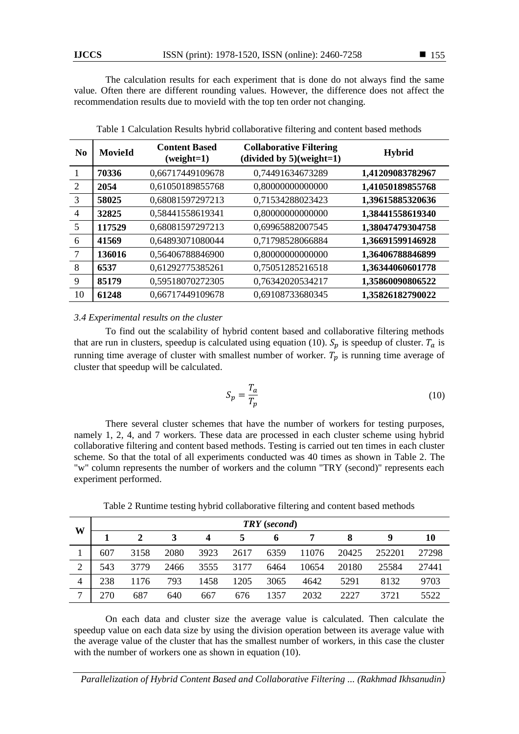The calculation results for each experiment that is done do not always find the same value. Often there are different rounding values. However, the difference does not affect the recommendation results due to movieId with the top ten order not changing.

| N <sub>0</sub> | <b>MovieId</b> | <b>Content Based</b><br>$(weight=1)$ | <b>Collaborative Filtering</b><br>(divided by $5$ )(weight=1) | <b>Hybrid</b>    |  |
|----------------|----------------|--------------------------------------|---------------------------------------------------------------|------------------|--|
|                | 70336          | 0,66717449109678                     | 0,74491634673289                                              | 1,41209083782967 |  |
| 2              | 2054           | 0,61050189855768                     | 0,80000000000000                                              | 1,41050189855768 |  |
| 3              | 58025          | 0,68081597297213                     | 0,71534288023423                                              | 1,39615885320636 |  |
| $\overline{4}$ | 32825          | 0,58441558619341                     | 0,80000000000000                                              | 1,38441558619340 |  |
| 5              | 117529         | 0,68081597297213                     | 0,69965882007545                                              | 1,38047479304758 |  |
| 6              | 41569          | 0,64893071080044                     | 0,71798528066884                                              | 1,36691599146928 |  |
| $\overline{7}$ | 136016         | 0,56406788846900                     | 0,80000000000000                                              | 1,36406788846899 |  |
| 8              | 6537           | 0,61292775385261                     | 0,75051285216518                                              | 1,36344060601778 |  |
| 9              | 85179          | 0,59518070272305                     | 0,76342020534217                                              | 1,35860090806522 |  |
| 10             | 61248          | 0,66717449109678                     | 0.69108733680345                                              | 1,35826182790022 |  |

Table 1 Calculation Results hybrid collaborative filtering and content based methods

# *3.4 Experimental results on the cluster*

To find out the scalability of hybrid content based and collaborative filtering methods that are run in clusters, speedup is calculated using equation (10).  $S_p$  is speedup of cluster.  $T_a$  is running time average of cluster with smallest number of worker.  $T_p$  is running time average of cluster that speedup will be calculated.

$$
S_p = \frac{T_a}{T_p} \tag{10}
$$

There several cluster schemes that have the number of workers for testing purposes, namely 1, 2, 4, and 7 workers. These data are processed in each cluster scheme using hybrid collaborative filtering and content based methods. Testing is carried out ten times in each cluster scheme. So that the total of all experiments conducted was 40 times as shown in Table 2. The "w" column represents the number of workers and the column "TRY (second)" represents each experiment performed.

| W              | <b>TRY</b> (second) |      |      |      |      |      |       |       |        |       |
|----------------|---------------------|------|------|------|------|------|-------|-------|--------|-------|
|                |                     |      |      | 4    |      | o    |       |       | g      | 10    |
|                | 607                 | 3158 | 2080 | 3923 | 2617 | 6359 | 11076 | 20425 | 252201 | 27298 |
| $\overline{2}$ | 543                 | 3779 | 2466 | 3555 | 3177 | 6464 | 10654 | 20180 | 25584  | 27441 |
| 4              | 238                 | 1176 | 793  | 1458 | 1205 | 3065 | 4642  | 5291  | 8132   | 9703  |
| $\mathbf{r}$   | 70                  | 687  | 640  | 667  | 676  | 1357 | 2032  | 2227  | 3721   | 5522  |

Table 2 Runtime testing hybrid collaborative filtering and content based methods

On each data and cluster size the average value is calculated. Then calculate the speedup value on each data size by using the division operation between its average value with the average value of the cluster that has the smallest number of workers, in this case the cluster with the number of workers one as shown in equation (10).

*Parallelization of Hybrid Content Based and Collaborative Filtering ... (Rakhmad Ikhsanudin)*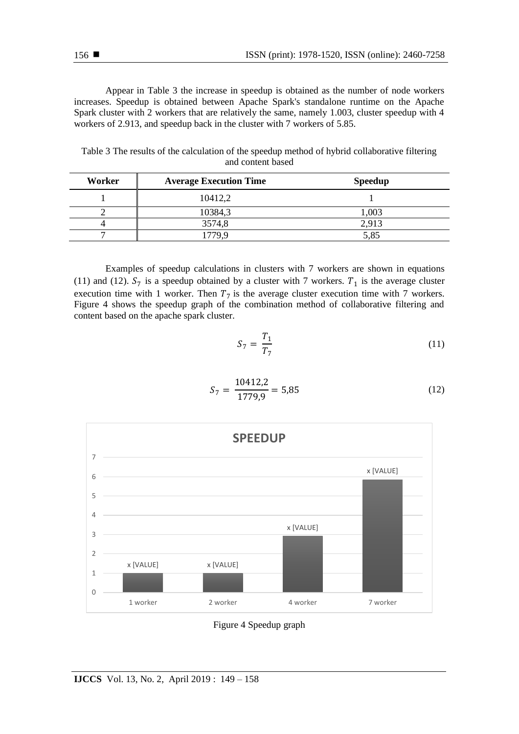Appear in Table 3 the increase in speedup is obtained as the number of node workers increases. Speedup is obtained between Apache Spark's standalone runtime on the Apache Spark cluster with 2 workers that are relatively the same, namely 1.003, cluster speedup with 4 workers of 2.913, and speedup back in the cluster with 7 workers of 5.85.

| Table 3 The results of the calculation of the speedup method of hybrid collaborative filtering |
|------------------------------------------------------------------------------------------------|
| and content based                                                                              |

| Worker | <b>Average Execution Time</b> | <b>Speedup</b> |  |
|--------|-------------------------------|----------------|--|
|        | 10412,2                       |                |  |
|        | 10384,3                       | 1,003          |  |
|        | 3574,8                        | 2,913          |  |
| –      |                               | 5,85           |  |

Examples of speedup calculations in clusters with 7 workers are shown in equations (11) and (12).  $S_7$  is a speedup obtained by a cluster with 7 workers.  $T_1$  is the average cluster execution time with 1 worker. Then  $T_7$  is the average cluster execution time with 7 workers. Figure 4 shows the speedup graph of the combination method of collaborative filtering and content based on the apache spark cluster.

$$
S_7 = \frac{T_1}{T_7} \tag{11}
$$

$$
S_7 = \frac{10412.2}{1779.9} = 5.85\tag{12}
$$



Figure 4 Speedup graph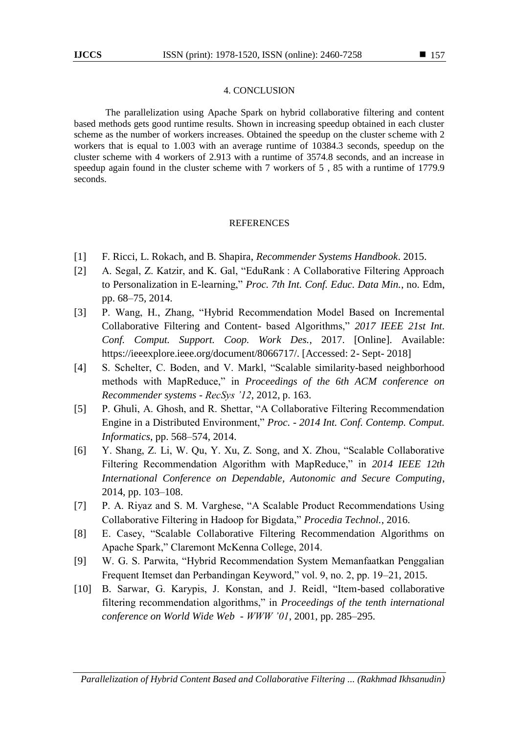# 4. CONCLUSION

The parallelization using Apache Spark on hybrid collaborative filtering and content based methods gets good runtime results. Shown in increasing speedup obtained in each cluster scheme as the number of workers increases. Obtained the speedup on the cluster scheme with 2 workers that is equal to 1.003 with an average runtime of 10384.3 seconds, speedup on the cluster scheme with 4 workers of 2.913 with a runtime of 3574.8 seconds, and an increase in speedup again found in the cluster scheme with 7 workers of 5 , 85 with a runtime of 1779.9 seconds.

# REFERENCES

- [1] F. Ricci, L. Rokach, and B. Shapira, *Recommender Systems Handbook*. 2015.
- [2] A. Segal, Z. Katzir, and K. Gal, "EduRank : A Collaborative Filtering Approach to Personalization in E-learning," *Proc. 7th Int. Conf. Educ. Data Min.*, no. Edm, pp. 68–75, 2014.
- [3] P. Wang, H., Zhang, "Hybrid Recommendation Model Based on Incremental Collaborative Filtering and Content- based Algorithms," *2017 IEEE 21st Int. Conf. Comput. Support. Coop. Work Des.*, 2017. [Online]. Available: https://ieeexplore.ieee.org/document/8066717/. [Accessed: 2- Sept- 2018]
- [4] S. Schelter, C. Boden, and V. Markl, "Scalable similarity-based neighborhood methods with MapReduce," in *Proceedings of the 6th ACM conference on Recommender systems - RecSys '12*, 2012, p. 163.
- [5] P. Ghuli, A. Ghosh, and R. Shettar, "A Collaborative Filtering Recommendation Engine in a Distributed Environment," *Proc. - 2014 Int. Conf. Contemp. Comput. Informatics*, pp. 568–574, 2014.
- [6] Y. Shang, Z. Li, W. Qu, Y. Xu, Z. Song, and X. Zhou, "Scalable Collaborative Filtering Recommendation Algorithm with MapReduce," in *2014 IEEE 12th International Conference on Dependable, Autonomic and Secure Computing*, 2014, pp. 103–108.
- [7] P. A. Riyaz and S. M. Varghese, "A Scalable Product Recommendations Using Collaborative Filtering in Hadoop for Bigdata," *Procedia Technol.*, 2016.
- [8] E. Casey, "Scalable Collaborative Filtering Recommendation Algorithms on Apache Spark," Claremont McKenna College, 2014.
- [9] W. G. S. Parwita, "Hybrid Recommendation System Memanfaatkan Penggalian Frequent Itemset dan Perbandingan Keyword," vol. 9, no. 2, pp. 19–21, 2015.
- [10] B. Sarwar, G. Karypis, J. Konstan, and J. Reidl, "Item-based collaborative filtering recommendation algorithms," in *Proceedings of the tenth international conference on World Wide Web - WWW '01*, 2001, pp. 285–295.

■ 157